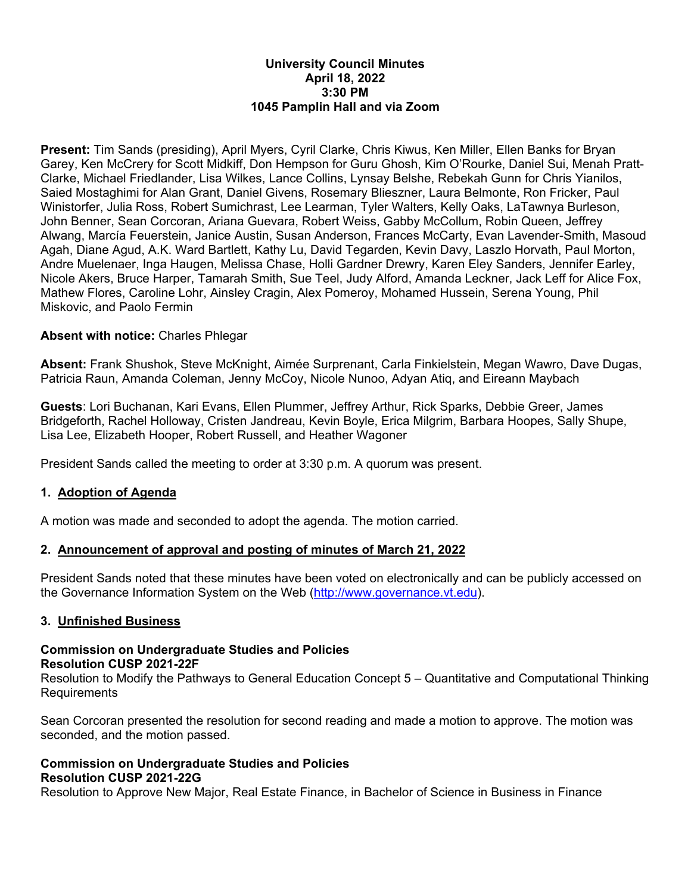## **University Council Minutes April 18, 2022 3:30 PM 1045 Pamplin Hall and via Zoom**

**Present:** Tim Sands (presiding), April Myers, Cyril Clarke, Chris Kiwus, Ken Miller, Ellen Banks for Bryan Garey, Ken McCrery for Scott Midkiff, Don Hempson for Guru Ghosh, Kim O'Rourke, Daniel Sui, Menah Pratt-Clarke, Michael Friedlander, Lisa Wilkes, Lance Collins, Lynsay Belshe, Rebekah Gunn for Chris Yianilos, Saied Mostaghimi for Alan Grant, Daniel Givens, Rosemary Blieszner, Laura Belmonte, Ron Fricker, Paul Winistorfer, Julia Ross, Robert Sumichrast, Lee Learman, Tyler Walters, Kelly Oaks, LaTawnya Burleson, John Benner, Sean Corcoran, Ariana Guevara, Robert Weiss, Gabby McCollum, Robin Queen, Jeffrey Alwang, Marcía Feuerstein, Janice Austin, Susan Anderson, Frances McCarty, Evan Lavender-Smith, Masoud Agah, Diane Agud, A.K. Ward Bartlett, Kathy Lu, David Tegarden, Kevin Davy, Laszlo Horvath, Paul Morton, Andre Muelenaer, Inga Haugen, Melissa Chase, Holli Gardner Drewry, Karen Eley Sanders, Jennifer Earley, Nicole Akers, Bruce Harper, Tamarah Smith, Sue Teel, Judy Alford, Amanda Leckner, Jack Leff for Alice Fox, Mathew Flores, Caroline Lohr, Ainsley Cragin, Alex Pomeroy, Mohamed Hussein, Serena Young, Phil Miskovic, and Paolo Fermin

# **Absent with notice:** Charles Phlegar

**Absent:** Frank Shushok, Steve McKnight, Aimée Surprenant, Carla Finkielstein, Megan Wawro, Dave Dugas, Patricia Raun, Amanda Coleman, Jenny McCoy, Nicole Nunoo, Adyan Atiq, and Eireann Maybach

**Guests**: Lori Buchanan, Kari Evans, Ellen Plummer, Jeffrey Arthur, Rick Sparks, Debbie Greer, James Bridgeforth, Rachel Holloway, Cristen Jandreau, Kevin Boyle, Erica Milgrim, Barbara Hoopes, Sally Shupe, Lisa Lee, Elizabeth Hooper, Robert Russell, and Heather Wagoner

President Sands called the meeting to order at 3:30 p.m. A quorum was present.

# **1. Adoption of Agenda**

A motion was made and seconded to adopt the agenda. The motion carried.

# **2. Announcement of approval and posting of minutes of March 21, 2022**

President Sands noted that these minutes have been voted on electronically and can be publicly accessed on the Governance Information System on the Web (http://www.governance.vt.edu).

# **3. Unfinished Business**

## **Commission on Undergraduate Studies and Policies Resolution CUSP 2021-22F**

Resolution to Modify the Pathways to General Education Concept 5 – Quantitative and Computational Thinking Requirements

Sean Corcoran presented the resolution for second reading and made a motion to approve. The motion was seconded, and the motion passed.

## **Commission on Undergraduate Studies and Policies Resolution CUSP 2021-22G**

Resolution to Approve New Major, Real Estate Finance, in Bachelor of Science in Business in Finance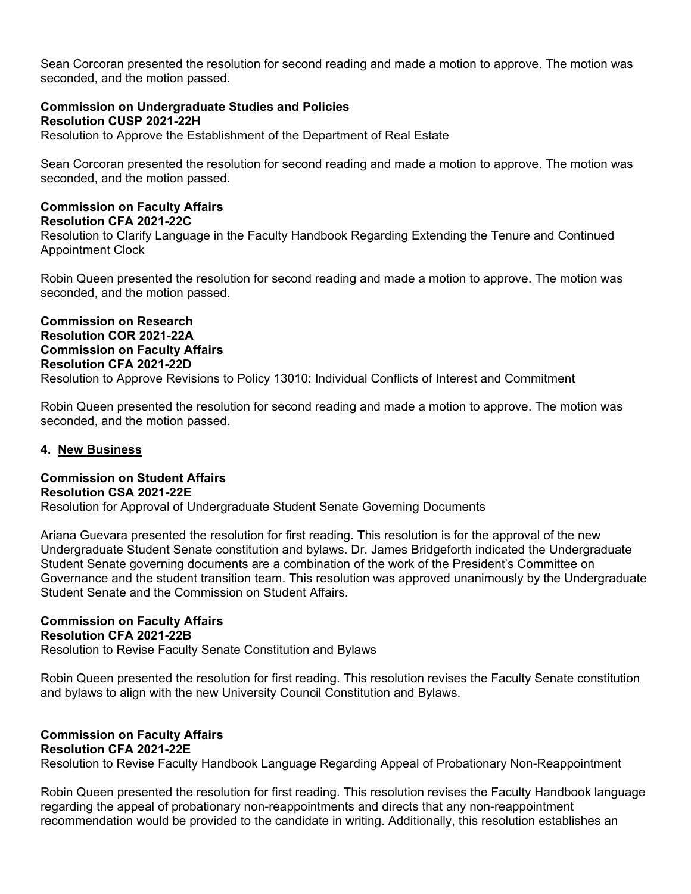Sean Corcoran presented the resolution for second reading and made a motion to approve. The motion was seconded, and the motion passed.

## **Commission on Undergraduate Studies and Policies Resolution CUSP 2021-22H**

Resolution to Approve the Establishment of the Department of Real Estate

Sean Corcoran presented the resolution for second reading and made a motion to approve. The motion was seconded, and the motion passed.

#### **Commission on Faculty Affairs Resolution CFA 2021-22C**

Resolution to Clarify Language in the Faculty Handbook Regarding Extending the Tenure and Continued Appointment Clock

Robin Queen presented the resolution for second reading and made a motion to approve. The motion was seconded, and the motion passed.

## **Commission on Research Resolution COR 2021-22A Commission on Faculty Affairs Resolution CFA 2021-22D**  Resolution to Approve Revisions to Policy 13010: Individual Conflicts of Interest and Commitment

Robin Queen presented the resolution for second reading and made a motion to approve. The motion was seconded, and the motion passed.

# **4. New Business**

#### **Commission on Student Affairs Resolution CSA 2021-22E**

Resolution for Approval of Undergraduate Student Senate Governing Documents

Ariana Guevara presented the resolution for first reading. This resolution is for the approval of the new Undergraduate Student Senate constitution and bylaws. Dr. James Bridgeforth indicated the Undergraduate Student Senate governing documents are a combination of the work of the President's Committee on Governance and the student transition team. This resolution was approved unanimously by the Undergraduate Student Senate and the Commission on Student Affairs.

#### **Commission on Faculty Affairs Resolution CFA 2021-22B**

Resolution to Revise Faculty Senate Constitution and Bylaws

Robin Queen presented the resolution for first reading. This resolution revises the Faculty Senate constitution and bylaws to align with the new University Council Constitution and Bylaws.

#### **Commission on Faculty Affairs Resolution CFA 2021-22E**

Resolution to Revise Faculty Handbook Language Regarding Appeal of Probationary Non-Reappointment

Robin Queen presented the resolution for first reading. This resolution revises the Faculty Handbook language regarding the appeal of probationary non-reappointments and directs that any non-reappointment recommendation would be provided to the candidate in writing. Additionally, this resolution establishes an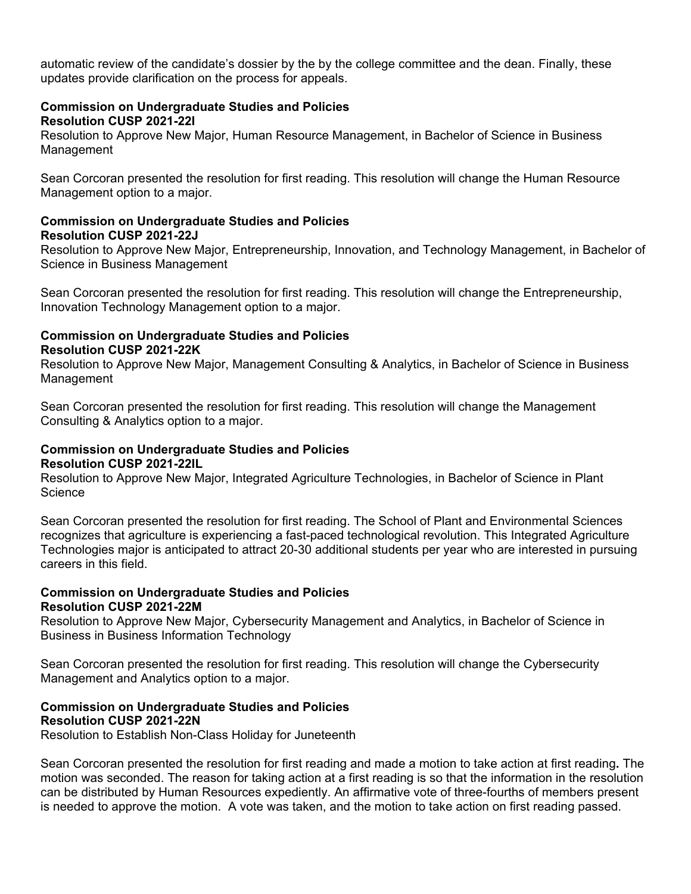automatic review of the candidate's dossier by the by the college committee and the dean. Finally, these updates provide clarification on the process for appeals.

#### **Commission on Undergraduate Studies and Policies Resolution CUSP 2021-22I**

Resolution to Approve New Major, Human Resource Management, in Bachelor of Science in Business Management

Sean Corcoran presented the resolution for first reading. This resolution will change the Human Resource Management option to a major.

## **Commission on Undergraduate Studies and Policies Resolution CUSP 2021-22J**

Resolution to Approve New Major, Entrepreneurship, Innovation, and Technology Management, in Bachelor of Science in Business Management

Sean Corcoran presented the resolution for first reading. This resolution will change the Entrepreneurship, Innovation Technology Management option to a major.

#### **Commission on Undergraduate Studies and Policies Resolution CUSP 2021-22K**

Resolution to Approve New Major, Management Consulting & Analytics, in Bachelor of Science in Business Management

Sean Corcoran presented the resolution for first reading. This resolution will change the Management Consulting & Analytics option to a major.

# **Commission on Undergraduate Studies and Policies Resolution CUSP 2021-22IL**

Resolution to Approve New Major, Integrated Agriculture Technologies, in Bachelor of Science in Plant **Science** 

Sean Corcoran presented the resolution for first reading. The School of Plant and Environmental Sciences recognizes that agriculture is experiencing a fast-paced technological revolution. This Integrated Agriculture Technologies major is anticipated to attract 20-30 additional students per year who are interested in pursuing careers in this field.

## **Commission on Undergraduate Studies and Policies Resolution CUSP 2021-22M**

Resolution to Approve New Major, Cybersecurity Management and Analytics, in Bachelor of Science in Business in Business Information Technology

Sean Corcoran presented the resolution for first reading. This resolution will change the Cybersecurity Management and Analytics option to a major.

#### **Commission on Undergraduate Studies and Policies Resolution CUSP 2021-22N**

Resolution to Establish Non-Class Holiday for Juneteenth

Sean Corcoran presented the resolution for first reading and made a motion to take action at first reading**.** The motion was seconded. The reason for taking action at a first reading is so that the information in the resolution can be distributed by Human Resources expediently. An affirmative vote of three-fourths of members present is needed to approve the motion. A vote was taken, and the motion to take action on first reading passed.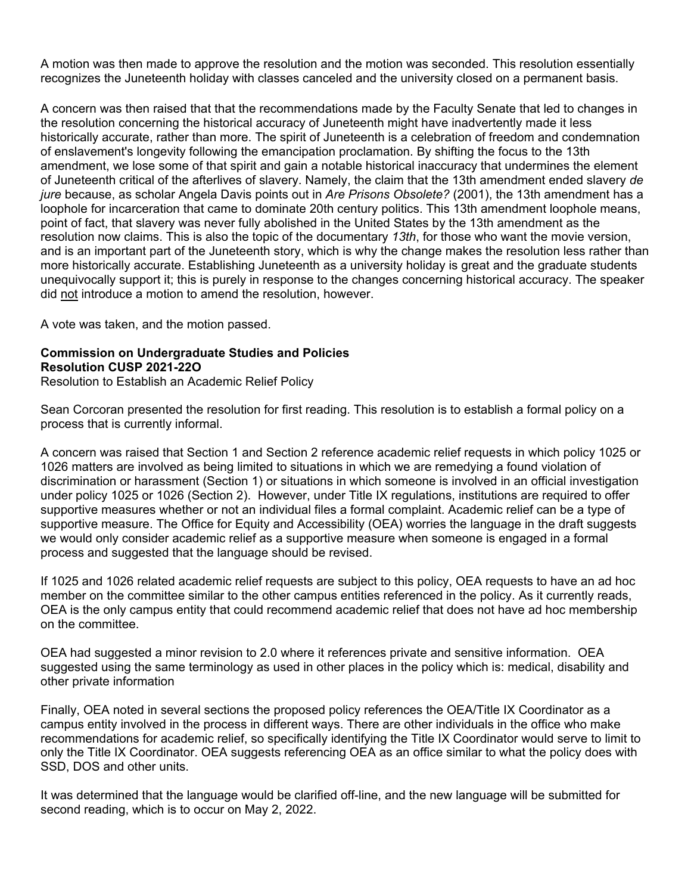A motion was then made to approve the resolution and the motion was seconded. This resolution essentially recognizes the Juneteenth holiday with classes canceled and the university closed on a permanent basis.

A concern was then raised that that the recommendations made by the Faculty Senate that led to changes in the resolution concerning the historical accuracy of Juneteenth might have inadvertently made it less historically accurate, rather than more. The spirit of Juneteenth is a celebration of freedom and condemnation of enslavement's longevity following the emancipation proclamation. By shifting the focus to the 13th amendment, we lose some of that spirit and gain a notable historical inaccuracy that undermines the element of Juneteenth critical of the afterlives of slavery. Namely, the claim that the 13th amendment ended slavery *de jure* because, as scholar Angela Davis points out in *Are Prisons Obsolete?* (2001), the 13th amendment has a loophole for incarceration that came to dominate 20th century politics. This 13th amendment loophole means, point of fact, that slavery was never fully abolished in the United States by the 13th amendment as the resolution now claims. This is also the topic of the documentary *13th*, for those who want the movie version, and is an important part of the Juneteenth story, which is why the change makes the resolution less rather than more historically accurate. Establishing Juneteenth as a university holiday is great and the graduate students unequivocally support it; this is purely in response to the changes concerning historical accuracy. The speaker did not introduce a motion to amend the resolution, however.

A vote was taken, and the motion passed.

#### **Commission on Undergraduate Studies and Policies Resolution CUSP 2021-22O**

Resolution to Establish an Academic Relief Policy

Sean Corcoran presented the resolution for first reading. This resolution is to establish a formal policy on a process that is currently informal.

A concern was raised that Section 1 and Section 2 reference academic relief requests in which policy 1025 or 1026 matters are involved as being limited to situations in which we are remedying a found violation of discrimination or harassment (Section 1) or situations in which someone is involved in an official investigation under policy 1025 or 1026 (Section 2). However, under Title IX regulations, institutions are required to offer supportive measures whether or not an individual files a formal complaint. Academic relief can be a type of supportive measure. The Office for Equity and Accessibility (OEA) worries the language in the draft suggests we would only consider academic relief as a supportive measure when someone is engaged in a formal process and suggested that the language should be revised.

If 1025 and 1026 related academic relief requests are subject to this policy, OEA requests to have an ad hoc member on the committee similar to the other campus entities referenced in the policy. As it currently reads, OEA is the only campus entity that could recommend academic relief that does not have ad hoc membership on the committee.

OEA had suggested a minor revision to 2.0 where it references private and sensitive information. OEA suggested using the same terminology as used in other places in the policy which is: medical, disability and other private information

Finally, OEA noted in several sections the proposed policy references the OEA/Title IX Coordinator as a campus entity involved in the process in different ways. There are other individuals in the office who make recommendations for academic relief, so specifically identifying the Title IX Coordinator would serve to limit to only the Title IX Coordinator. OEA suggests referencing OEA as an office similar to what the policy does with SSD, DOS and other units.

It was determined that the language would be clarified off-line, and the new language will be submitted for second reading, which is to occur on May 2, 2022.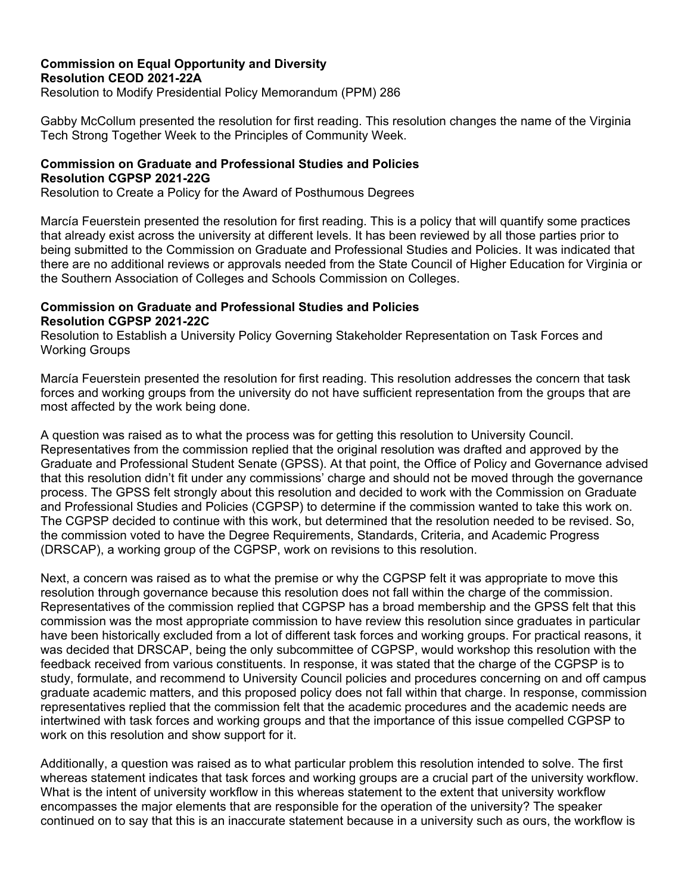# **Commission on Equal Opportunity and Diversity Resolution CEOD 2021-22A**

Resolution to Modify Presidential Policy Memorandum (PPM) 286

Gabby McCollum presented the resolution for first reading. This resolution changes the name of the Virginia Tech Strong Together Week to the Principles of Community Week.

# **Commission on Graduate and Professional Studies and Policies Resolution CGPSP 2021-22G**

Resolution to Create a Policy for the Award of Posthumous Degrees

Marcía Feuerstein presented the resolution for first reading. This is a policy that will quantify some practices that already exist across the university at different levels. It has been reviewed by all those parties prior to being submitted to the Commission on Graduate and Professional Studies and Policies. It was indicated that there are no additional reviews or approvals needed from the State Council of Higher Education for Virginia or the Southern Association of Colleges and Schools Commission on Colleges.

# **Commission on Graduate and Professional Studies and Policies Resolution CGPSP 2021-22C**

Resolution to Establish a University Policy Governing Stakeholder Representation on Task Forces and Working Groups

Marcía Feuerstein presented the resolution for first reading. This resolution addresses the concern that task forces and working groups from the university do not have sufficient representation from the groups that are most affected by the work being done.

A question was raised as to what the process was for getting this resolution to University Council. Representatives from the commission replied that the original resolution was drafted and approved by the Graduate and Professional Student Senate (GPSS). At that point, the Office of Policy and Governance advised that this resolution didn't fit under any commissions' charge and should not be moved through the governance process. The GPSS felt strongly about this resolution and decided to work with the Commission on Graduate and Professional Studies and Policies (CGPSP) to determine if the commission wanted to take this work on. The CGPSP decided to continue with this work, but determined that the resolution needed to be revised. So, the commission voted to have the Degree Requirements, Standards, Criteria, and Academic Progress (DRSCAP), a working group of the CGPSP, work on revisions to this resolution.

Next, a concern was raised as to what the premise or why the CGPSP felt it was appropriate to move this resolution through governance because this resolution does not fall within the charge of the commission. Representatives of the commission replied that CGPSP has a broad membership and the GPSS felt that this commission was the most appropriate commission to have review this resolution since graduates in particular have been historically excluded from a lot of different task forces and working groups. For practical reasons, it was decided that DRSCAP, being the only subcommittee of CGPSP, would workshop this resolution with the feedback received from various constituents. In response, it was stated that the charge of the CGPSP is to study, formulate, and recommend to University Council policies and procedures concerning on and off campus graduate academic matters, and this proposed policy does not fall within that charge. In response, commission representatives replied that the commission felt that the academic procedures and the academic needs are intertwined with task forces and working groups and that the importance of this issue compelled CGPSP to work on this resolution and show support for it.

Additionally, a question was raised as to what particular problem this resolution intended to solve. The first whereas statement indicates that task forces and working groups are a crucial part of the university workflow. What is the intent of university workflow in this whereas statement to the extent that university workflow encompasses the major elements that are responsible for the operation of the university? The speaker continued on to say that this is an inaccurate statement because in a university such as ours, the workflow is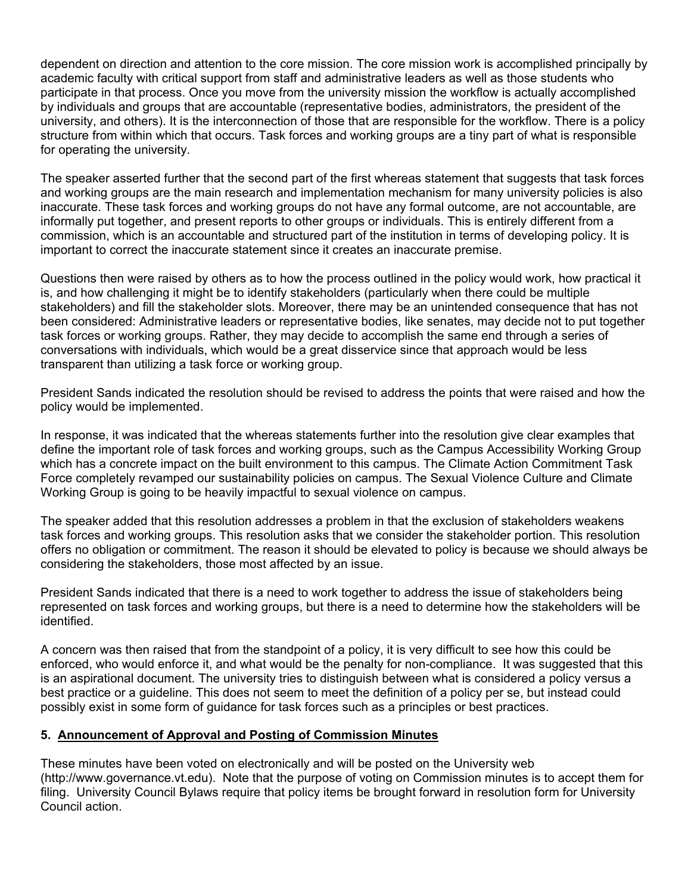dependent on direction and attention to the core mission. The core mission work is accomplished principally by academic faculty with critical support from staff and administrative leaders as well as those students who participate in that process. Once you move from the university mission the workflow is actually accomplished by individuals and groups that are accountable (representative bodies, administrators, the president of the university, and others). It is the interconnection of those that are responsible for the workflow. There is a policy structure from within which that occurs. Task forces and working groups are a tiny part of what is responsible for operating the university.

The speaker asserted further that the second part of the first whereas statement that suggests that task forces and working groups are the main research and implementation mechanism for many university policies is also inaccurate. These task forces and working groups do not have any formal outcome, are not accountable, are informally put together, and present reports to other groups or individuals. This is entirely different from a commission, which is an accountable and structured part of the institution in terms of developing policy. It is important to correct the inaccurate statement since it creates an inaccurate premise.

Questions then were raised by others as to how the process outlined in the policy would work, how practical it is, and how challenging it might be to identify stakeholders (particularly when there could be multiple stakeholders) and fill the stakeholder slots. Moreover, there may be an unintended consequence that has not been considered: Administrative leaders or representative bodies, like senates, may decide not to put together task forces or working groups. Rather, they may decide to accomplish the same end through a series of conversations with individuals, which would be a great disservice since that approach would be less transparent than utilizing a task force or working group.

President Sands indicated the resolution should be revised to address the points that were raised and how the policy would be implemented.

In response, it was indicated that the whereas statements further into the resolution give clear examples that define the important role of task forces and working groups, such as the Campus Accessibility Working Group which has a concrete impact on the built environment to this campus. The Climate Action Commitment Task Force completely revamped our sustainability policies on campus. The Sexual Violence Culture and Climate Working Group is going to be heavily impactful to sexual violence on campus.

The speaker added that this resolution addresses a problem in that the exclusion of stakeholders weakens task forces and working groups. This resolution asks that we consider the stakeholder portion. This resolution offers no obligation or commitment. The reason it should be elevated to policy is because we should always be considering the stakeholders, those most affected by an issue.

President Sands indicated that there is a need to work together to address the issue of stakeholders being represented on task forces and working groups, but there is a need to determine how the stakeholders will be identified.

A concern was then raised that from the standpoint of a policy, it is very difficult to see how this could be enforced, who would enforce it, and what would be the penalty for non-compliance. It was suggested that this is an aspirational document. The university tries to distinguish between what is considered a policy versus a best practice or a guideline. This does not seem to meet the definition of a policy per se, but instead could possibly exist in some form of guidance for task forces such as a principles or best practices.

# **5. Announcement of Approval and Posting of Commission Minutes**

These minutes have been voted on electronically and will be posted on the University web (http://www.governance.vt.edu). Note that the purpose of voting on Commission minutes is to accept them for filing. University Council Bylaws require that policy items be brought forward in resolution form for University Council action.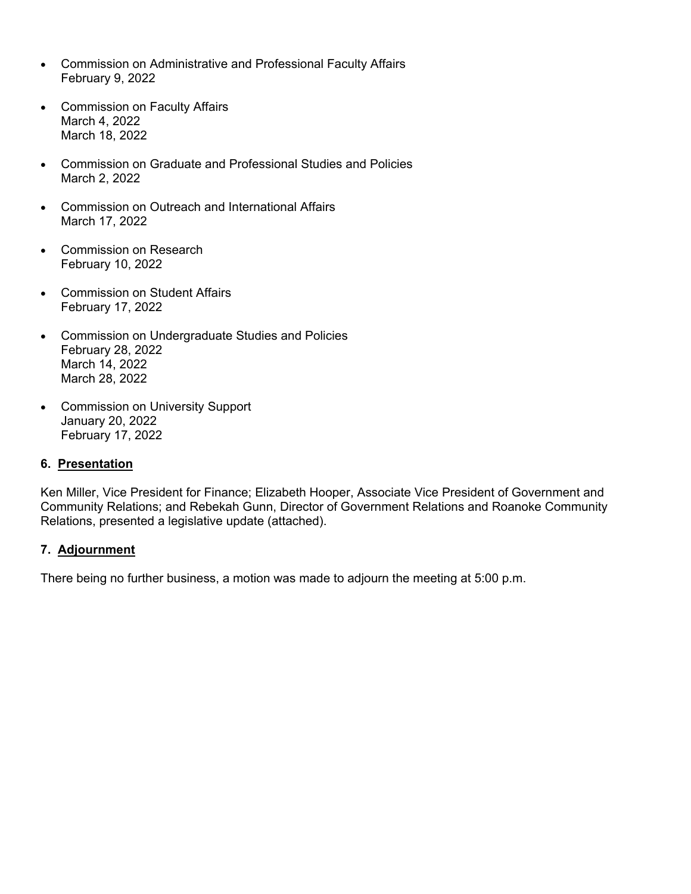- Commission on Administrative and Professional Faculty Affairs February 9, 2022
- Commission on Faculty Affairs March 4, 2022 March 18, 2022
- Commission on Graduate and Professional Studies and Policies March 2, 2022
- Commission on Outreach and International Affairs March 17, 2022
- Commission on Research February 10, 2022
- Commission on Student Affairs February 17, 2022
- Commission on Undergraduate Studies and Policies February 28, 2022 March 14, 2022 March 28, 2022
- Commission on University Support January 20, 2022 February 17, 2022

# **6. Presentation**

Ken Miller, Vice President for Finance; Elizabeth Hooper, Associate Vice President of Government and Community Relations; and Rebekah Gunn, Director of Government Relations and Roanoke Community Relations, presented a legislative update (attached).

## **7. Adjournment**

There being no further business, a motion was made to adjourn the meeting at 5:00 p.m.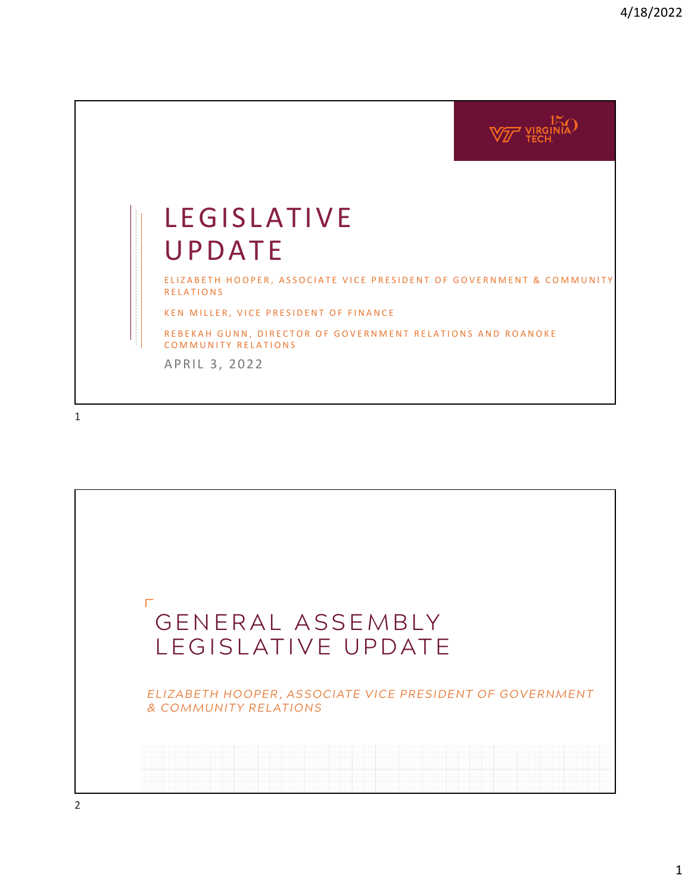

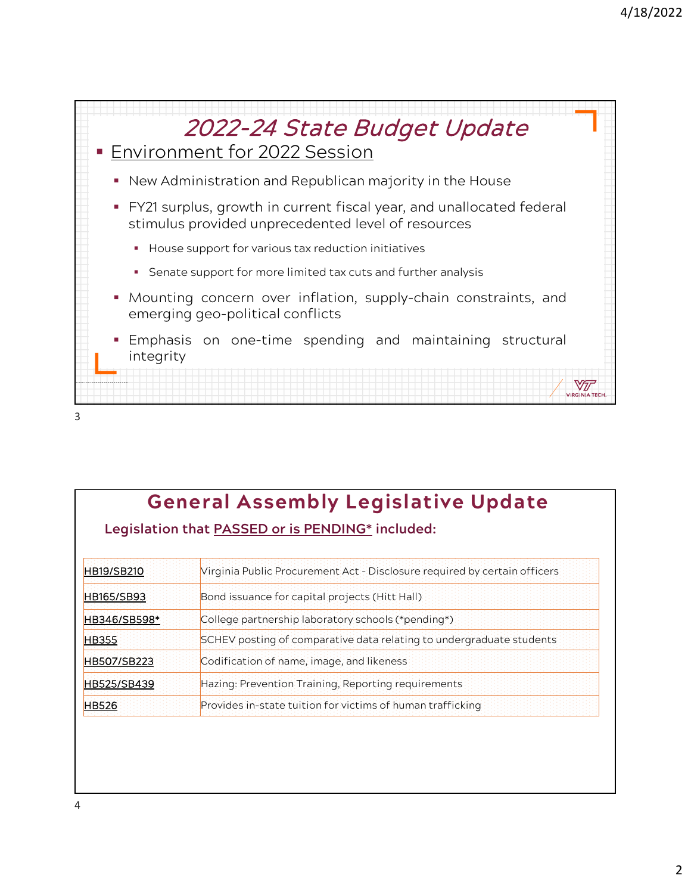

|                    | <b>General Assembly Legislative Update</b>                                |
|--------------------|---------------------------------------------------------------------------|
|                    | Legislation that PASSED or is PENDING* included:                          |
| <b>HB19/SB210</b>  | Virginia Public Procurement Act - Disclosure required by certain officers |
| <b>HB165/SB93</b>  | Bond issuance for capital projects (Hitt Hall)                            |
| HB346/SB598*       | College partnership laboratory schools (*pending*)                        |
| <b>HB355</b>       | SCHEV posting of comparative data relating to undergraduate students      |
| <b>HB507/SB223</b> | Codification of name, image, and likeness                                 |
| HB525/SB439        | Hazing: Prevention Training, Reporting requirements                       |
| <b>HB526</b>       | Provides in-state tuition for victims of human trafficking                |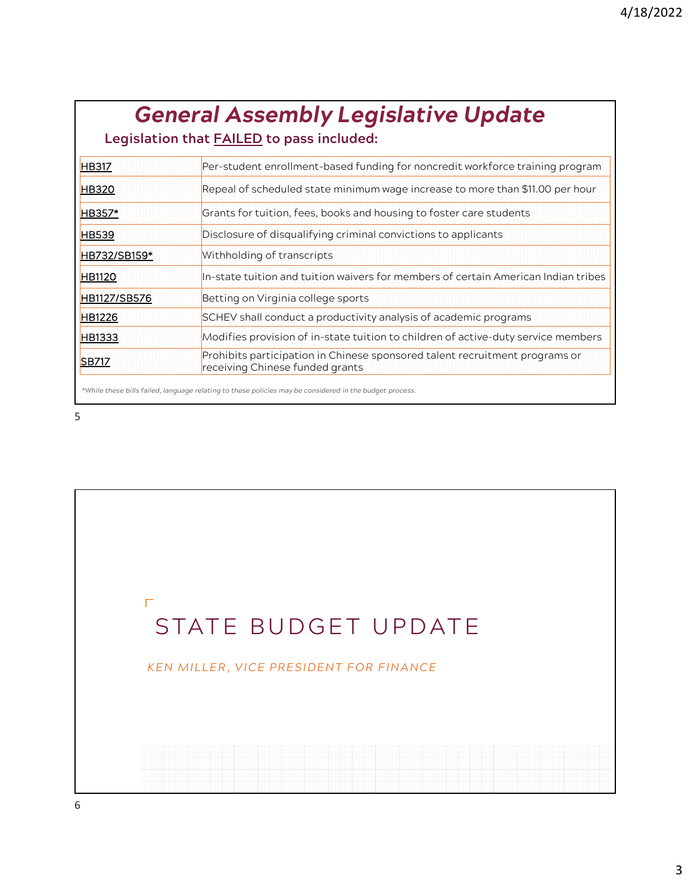# *General Assembly Legislative Update*

**Legislation that FAILED to pass included:**

| <b>HB317</b>        | Per-student enrollment-based funding for noncredit workforce training program                                  |
|---------------------|----------------------------------------------------------------------------------------------------------------|
| <b>HB320</b>        | Repeal of scheduled state minimum wage increase to more than \$11.00 per hour                                  |
| <b>HB357*</b>       | Grants for tuition, fees, books and housing to foster care students                                            |
| <b>HB539</b>        | Disclosure of disqualifying criminal convictions to applicants                                                 |
| HB732/SB159*        | Withholding of transcripts                                                                                     |
| <b>HB1120</b>       | In-state tuition and tuition waivers for members of certain American Indian tribes                             |
| <b>HB1127/SB576</b> | Betting on Virginia college sports                                                                             |
| <b>HB1226</b>       | SCHEV shall conduct a productivity analysis of academic programs                                               |
| <b>HB1333</b>       | Modifies provision of in-state tuition to children of active-duty service members                              |
| <b>SB717</b>        | Prohibits participation in Chinese sponsored talent recruitment programs or<br>receiving Chinese funded grants |

*\*While these bills failed, language relating to these policies may be considered in the budget process.* 

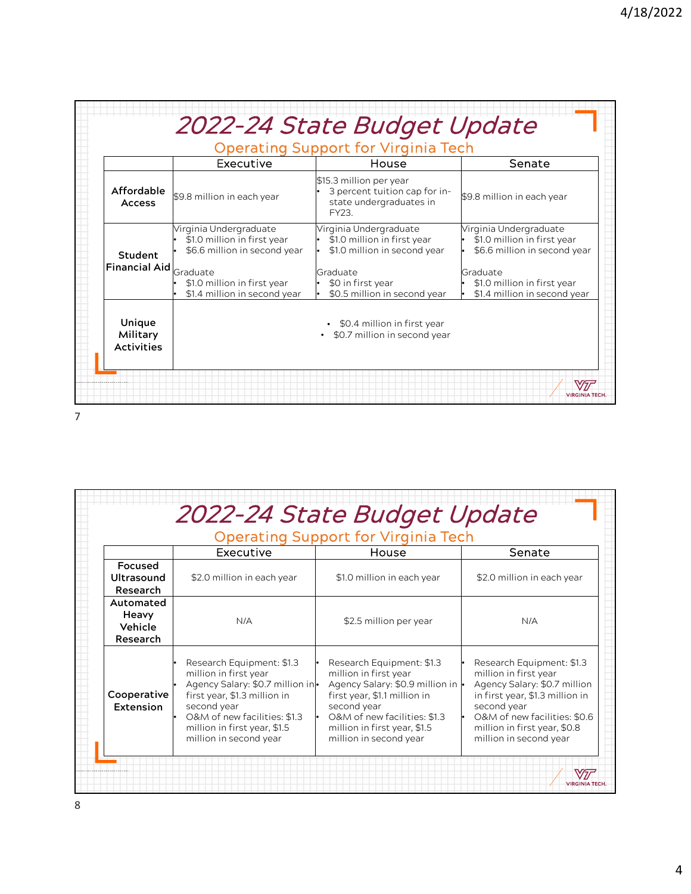|                                                           |                                                                                                                                                      | <b>Operating Support for Virginia Tech</b>                                                                                                             |                                                                                                                                                                  |
|-----------------------------------------------------------|------------------------------------------------------------------------------------------------------------------------------------------------------|--------------------------------------------------------------------------------------------------------------------------------------------------------|------------------------------------------------------------------------------------------------------------------------------------------------------------------|
|                                                           | Executive                                                                                                                                            | House                                                                                                                                                  | Senate                                                                                                                                                           |
| <b>Affordable</b><br>Access                               | \$9.8 million in each year                                                                                                                           | \$15.3 million per year<br>3 percent tuition cap for in-<br>state undergraduates in<br>FY23.                                                           | \$9.8 million in each year                                                                                                                                       |
| Student<br><b>Financial Aid</b> $\big _{\text{Graduate}}$ | Virginia Undergraduate<br>\$1.0 million in first year<br>\$6.6 million in second year<br>\$1.0 million in first year<br>\$1.4 million in second year | Virginia Undergraduate<br>\$1.0 million in first year<br>\$1.0 million in second year<br>Graduate<br>\$0 in first year<br>\$0.5 million in second year | Virginia Undergraduate<br>\$1.0 million in first year<br>\$6.6 million in second year<br>Graduate<br>\$1.0 million in first year<br>\$1.4 million in second year |
| Unique<br>Military<br><b>Activities</b>                   |                                                                                                                                                      | • \$0.4 million in first year<br>• \$0.7 million in second year                                                                                        |                                                                                                                                                                  |

2022-24 State Budget Update Operating Support for Virginia Tech Executive | House | Senate **Focused Ultrasound**  \$2.0 million in each year | \$1.0 million in each year | \$2.0 million in each year **Research Automated Heavy**  N/A  $$2.5$  million per year N/A **Vehicle Research** • Research Equipment: \$1.3 • Research Equipment: \$1.3 • Research Equipment: \$1.3 million in first year million in first year million in first year • Agency Salary: \$0.7 million in Agency Salary: \$0.9 million in • Agency Salary: \$0.7 million **Cooperative**  first year, \$1.3 million in first year, \$1.1 million in in first year, \$1.3 million in **Extension** second year second year second year • O&M of new facilities: \$0.6 O&M of new facilities: \$1.3 O&M of new facilities: \$1.3 million in first year, \$1.5 million in first year, \$1.5 million in first year, \$0.8 million in second year million in second year million in second year  $\sqrt{\frac{1}{2}}$ virginia tech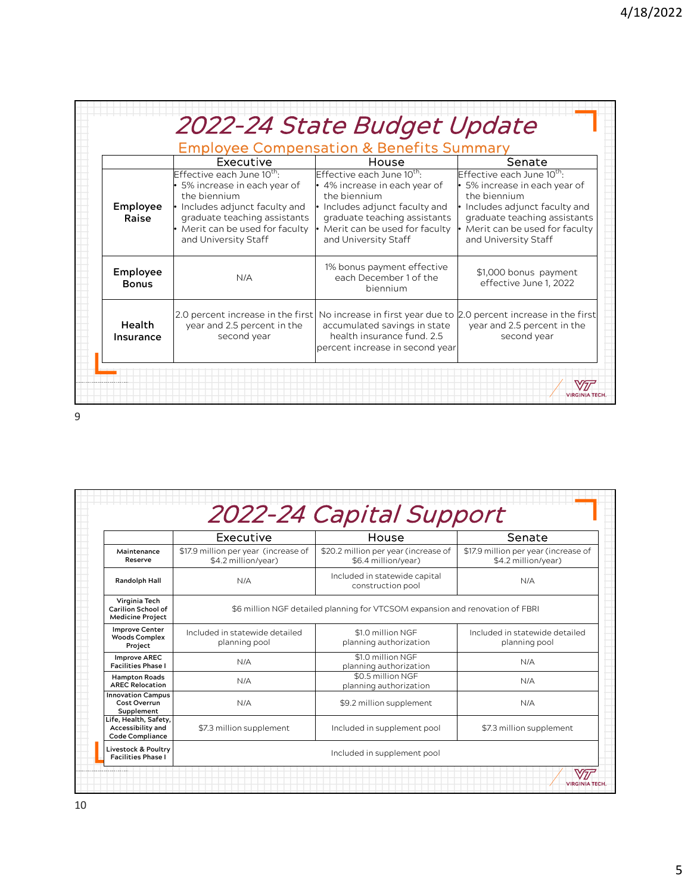|                            |                                                                                                                                                                                                                        | <b>Employee Compensation &amp; Benefits Summary</b>                                                                                                                                                                    |                                                                                                                                                                                                                          |  |  |
|----------------------------|------------------------------------------------------------------------------------------------------------------------------------------------------------------------------------------------------------------------|------------------------------------------------------------------------------------------------------------------------------------------------------------------------------------------------------------------------|--------------------------------------------------------------------------------------------------------------------------------------------------------------------------------------------------------------------------|--|--|
|                            | Executive                                                                                                                                                                                                              | House                                                                                                                                                                                                                  | Senate                                                                                                                                                                                                                   |  |  |
| Employee<br>Raise          | Effective each June 10 <sup>th</sup> :<br>• 5% increase in each year of<br>the biennium<br>lot Includes adjunct faculty and<br>graduate teaching assistants<br>• Merit can be used for faculty<br>and University Staff | Effective each June 10 <sup>th</sup> :<br>$\cdot$ 4% increase in each year of<br>the biennium<br>Includes adjunct faculty and<br>graduate teaching assistants<br>Merit can be used for faculty<br>and University Staff | Effective each June 10 <sup>th</sup> :<br>$\cdot$ 5% increase in each year of<br>the biennium<br>• Includes adjunct faculty and<br>graduate teaching assistants<br>Merit can be used for faculty<br>and University Staff |  |  |
| Employee<br><b>Bonus</b>   | N/A                                                                                                                                                                                                                    | 1% bonus payment effective<br>each December 1 of the<br>biennium                                                                                                                                                       | \$1,000 bonus payment<br>effective June 1, 2022                                                                                                                                                                          |  |  |
| <b>Health</b><br>Insurance | 2.0 percent increase in the first<br>year and 2.5 percent in the<br>second year                                                                                                                                        | No increase in first year due to 2.0 percent increase in the first<br>accumulated savings in state<br>health insurance fund, 2.5<br>percent increase in second year                                                    | year and 2.5 percent in the<br>second year                                                                                                                                                                               |  |  |

|                                                                       | Executive                                                   | House                                                                         | Senate                                                      |  |  |  |  |
|-----------------------------------------------------------------------|-------------------------------------------------------------|-------------------------------------------------------------------------------|-------------------------------------------------------------|--|--|--|--|
| Maintenance<br>Reserve                                                | \$17.9 million per year (increase of<br>\$4.2 million/year) | \$20.2 million per year (increase of<br>\$6.4 million/year)                   | \$17.9 million per year (increase of<br>\$4.2 million/year) |  |  |  |  |
| <b>Randolph Hall</b>                                                  | N/A                                                         | Included in statewide capital<br>construction pool                            | N/A                                                         |  |  |  |  |
| Virginia Tech<br><b>Carilion School of</b><br><b>Medicine Project</b> |                                                             | \$6 million NGF detailed planning for VTCSOM expansion and renovation of FBRI |                                                             |  |  |  |  |
| <b>Improve Center</b><br><b>Woods Complex</b><br>Project              | Included in statewide detailed<br>planning pool             | \$1.0 million NGF<br>planning authorization                                   | Included in statewide detailed<br>planning pool             |  |  |  |  |
| <b>Improve AREC</b><br><b>Facilities Phase I</b>                      | N/A                                                         | \$1.0 million NGF<br>planning authorization                                   | N/A                                                         |  |  |  |  |
| <b>Hampton Roads</b><br><b>AREC Relocation</b>                        | N/A                                                         | \$0.5 million NGF<br>planning authorization                                   | N/A                                                         |  |  |  |  |
| <b>Innovation Campus</b><br>Cost Overrun<br>Supplement                | N/A                                                         | \$9.2 million supplement                                                      | N/A                                                         |  |  |  |  |
| Life, Health, Safety,<br>Accessibility and<br><b>Code Compliance</b>  | \$7.3 million supplement                                    | Included in supplement pool                                                   | \$7.3 million supplement                                    |  |  |  |  |
| Livestock & Poultry<br><b>Facilities Phase I</b>                      |                                                             | Included in supplement pool                                                   |                                                             |  |  |  |  |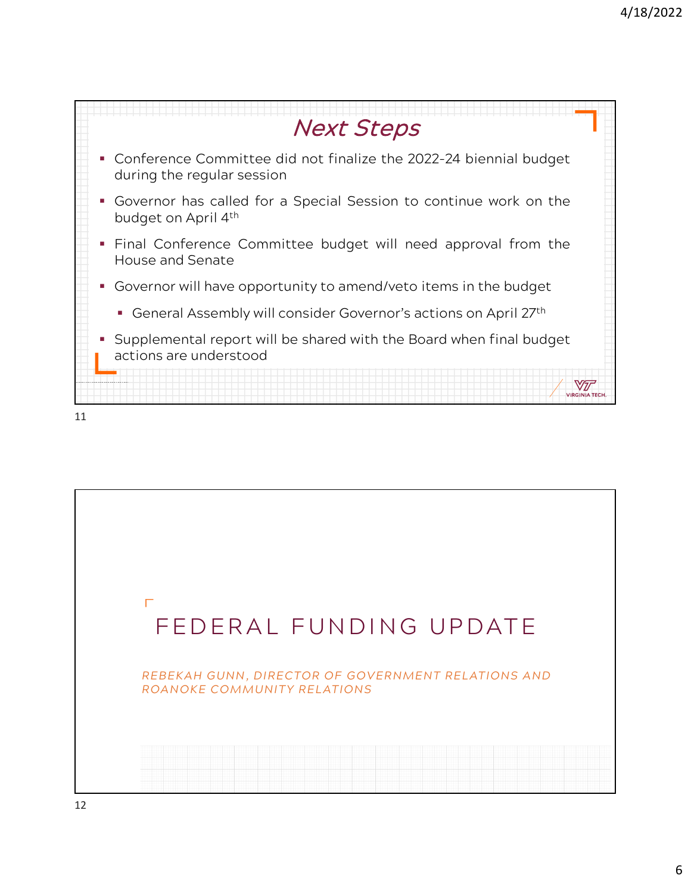



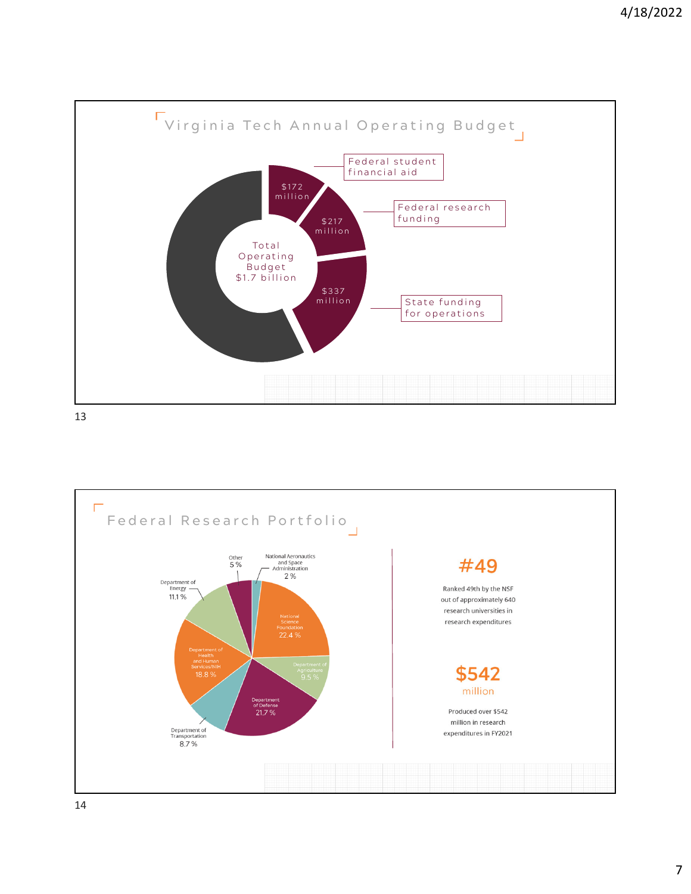

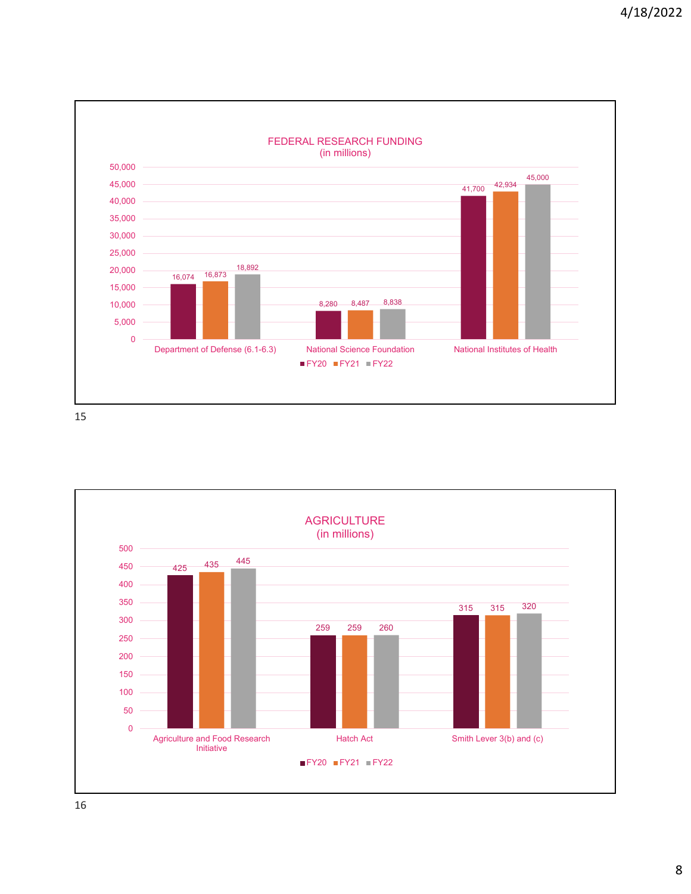

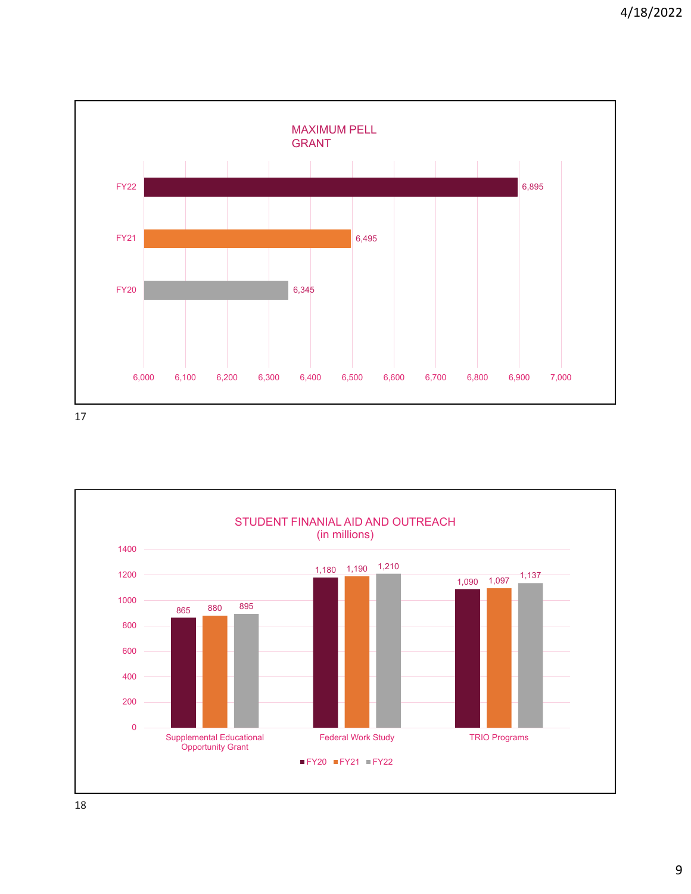

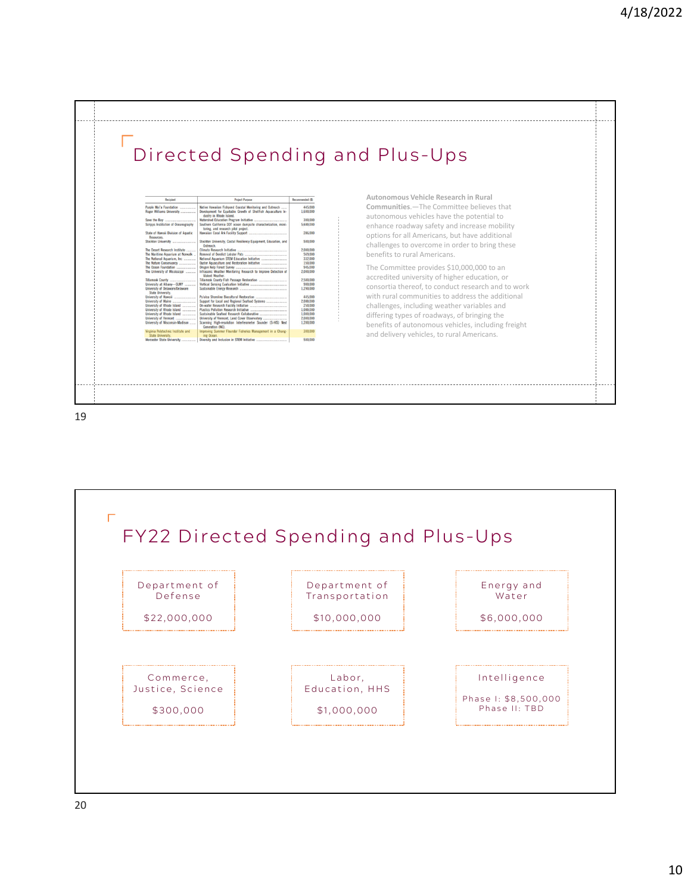| Recipient<br><b>Project Purpose</b><br>Purple Mai'a Foundation<br>Native Hawaiian Fishpond Coastal Monitoring and Outreach<br>Roger Williams University<br>Development for Equitable Growth of Shellfish Aquaculture In-<br>dustry in Rhode Island.<br>Save the Bay<br>Watershed Education Program Initiative<br>Scripps Institution of Oceanography<br>Southern California DDT ocean dumpsite characterization, moni-<br>toring, and research pilot project.<br>State of Hawaii Division of Aquatic<br>Hawaiian Coral Ark Facility Support<br>Resources.<br>Stockton University<br>Stockton University, Costal Resiliency Equipment, Education, and<br>Outreach.<br>The Desert Research Institute<br><b>Climate Research Initiative</b><br><b>Removal of Derelict Lobster Pots</b><br>The Maritime Aquarium at Norwalk<br>The National Aquarium, Inc.,<br>National Aquarium STEM Education Initiative<br>The Nature Conservancy<br>Oyster Aquaculture and Restoration Initiative<br>The Ocean Foundation<br>Oregon Kelp Forest Survey<br>The University of Mississippi<br>Infrasonic Weather Monitoring Research to Improve Detection of<br>Violent Weather.<br><b>Tillamook County</b><br>Tillamook County Fish Passage Restoration<br>University at Albany-SUNY<br>Vertical Sensing Evaluation Initiative<br>University of Delaware/Delaware<br>Sustainable Energy Research<br>State University.<br>University of Hawaii<br>Pu'uloa Shoreline Biocultural Restoration<br>Support for Local and Regional Seafood Systems<br>University of Maine<br>University of Rhode Island<br>On-water Research Facility Initiative<br><b>Plastics Pollution Research Initiative</b><br>University of Rhode Island<br>Sustainable Seafood Research Collaborative<br>University of Rhode Island<br>University of Vermont<br>University of Vermont, Land Cover Observatory<br>University of Wisconsin-Madison<br>Scanning High-resolution Interferometer Sounder (S-HIS) Next<br>Generation (NG).<br>Virginia Polytechnic Institute and<br>Improving Summer Flounder Fisheries Management in a Chang-<br>State University.<br>ing Ocean.<br><b>Worcester State University</b><br>Diversity and Inclusion in STEM Initiative | Recommended (\$)<br>445.000<br>1,600,000<br>300,000<br>5,600,000<br>286,000<br>500,000<br>2,000.000<br>569,000<br>332,000<br>150,000<br>945,000<br>2,000,000<br>2,500,000<br>900,000<br>1,290,000<br>445,000<br>2,000,000<br>250,000<br>1,000,000<br>1,000,000<br>2,000,000<br>1,200,000<br>300,000<br>500,000 | Directed Spending and Plus-Ups<br>Autonomous Vehicle Research in Rural<br>Communities.-The Committee believes that<br>autonomous vehicles have the potential to<br>enhance roadway safety and increase mobility<br>options for all Americans, but have additional<br>challenges to overcome in order to bring these<br>benefits to rural Americans.<br>The Committee provides \$10,000,000 to an<br>accredited university of higher education, or<br>consortia thereof, to conduct research and to work<br>with rural communities to address the additional<br>challenges, including weather variables and<br>differing types of roadways, of bringing the<br>benefits of autonomous vehicles, including freight<br>and delivery vehicles, to rural Americans. |
|----------------------------------------------------------------------------------------------------------------------------------------------------------------------------------------------------------------------------------------------------------------------------------------------------------------------------------------------------------------------------------------------------------------------------------------------------------------------------------------------------------------------------------------------------------------------------------------------------------------------------------------------------------------------------------------------------------------------------------------------------------------------------------------------------------------------------------------------------------------------------------------------------------------------------------------------------------------------------------------------------------------------------------------------------------------------------------------------------------------------------------------------------------------------------------------------------------------------------------------------------------------------------------------------------------------------------------------------------------------------------------------------------------------------------------------------------------------------------------------------------------------------------------------------------------------------------------------------------------------------------------------------------------------------------------------------------------------------------------------------------------------------------------------------------------------------------------------------------------------------------------------------------------------------------------------------------------------------------------------------------------------------------------------------------------------------------------------------------------------------------------------------------------------------------------------------------------------|----------------------------------------------------------------------------------------------------------------------------------------------------------------------------------------------------------------------------------------------------------------------------------------------------------------|----------------------------------------------------------------------------------------------------------------------------------------------------------------------------------------------------------------------------------------------------------------------------------------------------------------------------------------------------------------------------------------------------------------------------------------------------------------------------------------------------------------------------------------------------------------------------------------------------------------------------------------------------------------------------------------------------------------------------------------------------------------|
|----------------------------------------------------------------------------------------------------------------------------------------------------------------------------------------------------------------------------------------------------------------------------------------------------------------------------------------------------------------------------------------------------------------------------------------------------------------------------------------------------------------------------------------------------------------------------------------------------------------------------------------------------------------------------------------------------------------------------------------------------------------------------------------------------------------------------------------------------------------------------------------------------------------------------------------------------------------------------------------------------------------------------------------------------------------------------------------------------------------------------------------------------------------------------------------------------------------------------------------------------------------------------------------------------------------------------------------------------------------------------------------------------------------------------------------------------------------------------------------------------------------------------------------------------------------------------------------------------------------------------------------------------------------------------------------------------------------------------------------------------------------------------------------------------------------------------------------------------------------------------------------------------------------------------------------------------------------------------------------------------------------------------------------------------------------------------------------------------------------------------------------------------------------------------------------------------------------|----------------------------------------------------------------------------------------------------------------------------------------------------------------------------------------------------------------------------------------------------------------------------------------------------------------|----------------------------------------------------------------------------------------------------------------------------------------------------------------------------------------------------------------------------------------------------------------------------------------------------------------------------------------------------------------------------------------------------------------------------------------------------------------------------------------------------------------------------------------------------------------------------------------------------------------------------------------------------------------------------------------------------------------------------------------------------------------|

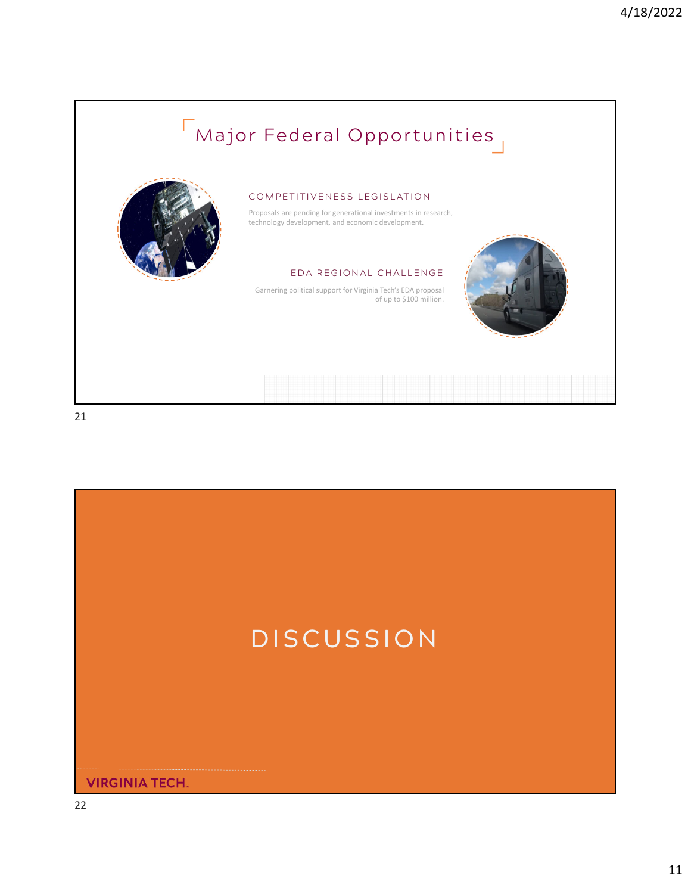

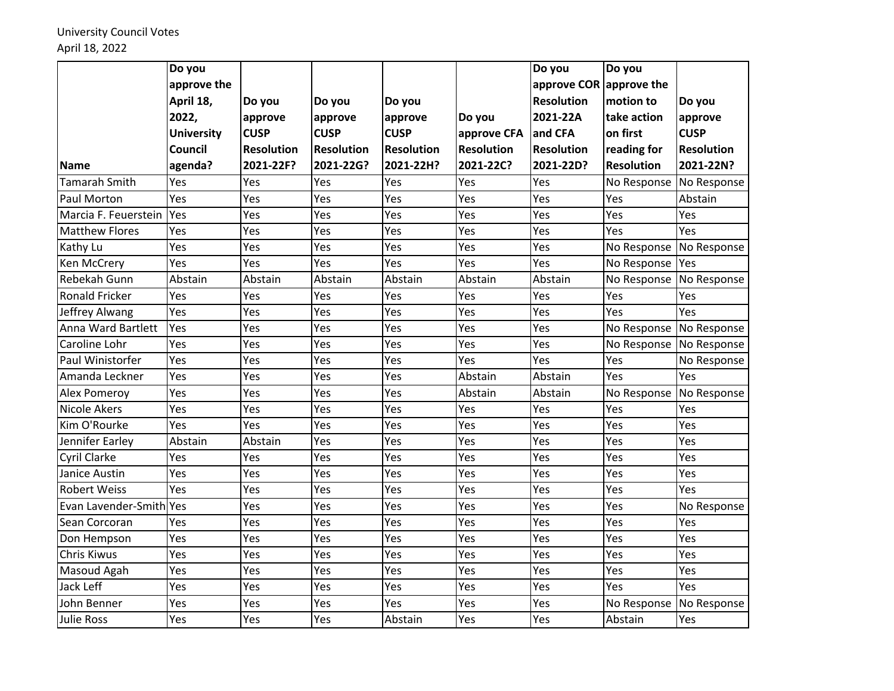|                         | Do you            |             |                   |                   |                   | Do you                  | Do you            |                   |
|-------------------------|-------------------|-------------|-------------------|-------------------|-------------------|-------------------------|-------------------|-------------------|
|                         | approve the       |             |                   |                   |                   | approve COR approve the |                   |                   |
|                         | April 18,         | Do you      | Do you            | Do you            |                   | <b>Resolution</b>       | motion to         | Do you            |
|                         | 2022,             | approve     | approve           | approve           | Do you            | 2021-22A                | take action       | approve           |
|                         | <b>University</b> | <b>CUSP</b> | <b>CUSP</b>       | <b>CUSP</b>       | approve CFA       | and CFA                 | on first          | <b>CUSP</b>       |
|                         | Council           | Resolution  | <b>Resolution</b> | <b>Resolution</b> | <b>Resolution</b> | <b>Resolution</b>       | reading for       | <b>Resolution</b> |
| Name                    | agenda?           | 2021-22F?   | 2021-22G?         | 2021-22H?         | 2021-22C?         | 2021-22D?               | <b>Resolution</b> | 2021-22N?         |
| <b>Tamarah Smith</b>    | Yes               | Yes         | Yes               | Yes               | Yes               | Yes                     | No Response       | No Response       |
| Paul Morton             | Yes               | Yes         | Yes               | Yes               | Yes               | Yes                     | Yes               | Abstain           |
| Marcia F. Feuerstein    | Yes               | Yes         | Yes               | Yes               | Yes               | Yes                     | Yes               | Yes               |
| <b>Matthew Flores</b>   | Yes               | Yes         | Yes               | Yes               | Yes               | Yes                     | Yes               | Yes               |
| Kathy Lu                | Yes               | Yes         | Yes               | Yes               | Yes               | Yes                     | No Response       | No Response       |
| Ken McCrery             | Yes               | Yes         | Yes               | Yes               | Yes               | Yes                     | No Response       | <b>Yes</b>        |
| Rebekah Gunn            | Abstain           | Abstain     | Abstain           | Abstain           | Abstain           | Abstain                 | No Response       | No Response       |
| <b>Ronald Fricker</b>   | Yes               | Yes         | Yes               | Yes               | Yes               | Yes                     | Yes               | Yes               |
| Jeffrey Alwang          | Yes               | Yes         | Yes               | Yes               | Yes               | Yes                     | Yes               | Yes               |
| Anna Ward Bartlett      | Yes               | Yes         | Yes               | Yes               | Yes               | Yes                     | No Response       | No Response       |
| Caroline Lohr           | Yes               | Yes         | Yes               | Yes               | Yes               | Yes                     | No Response       | No Response       |
| Paul Winistorfer        | Yes               | Yes         | Yes               | Yes               | Yes               | Yes                     | Yes               | No Response       |
| Amanda Leckner          | Yes               | Yes         | Yes               | Yes               | Abstain           | Abstain                 | Yes               | Yes               |
| Alex Pomeroy            | Yes               | Yes         | Yes               | Yes               | Abstain           | Abstain                 | No Response       | No Response       |
| Nicole Akers            | Yes               | Yes         | Yes               | Yes               | Yes               | Yes                     | Yes               | Yes               |
| Kim O'Rourke            | Yes               | Yes         | Yes               | Yes               | Yes               | Yes                     | Yes               | Yes               |
| Jennifer Earley         | Abstain           | Abstain     | Yes               | Yes               | Yes               | Yes                     | Yes               | Yes               |
| <b>Cyril Clarke</b>     | Yes               | Yes         | Yes               | Yes               | Yes               | Yes                     | Yes               | Yes               |
| Janice Austin           | Yes               | Yes         | Yes               | Yes               | Yes               | Yes                     | Yes               | Yes               |
| <b>Robert Weiss</b>     | Yes               | Yes         | Yes               | Yes               | Yes               | Yes                     | Yes               | Yes               |
| Evan Lavender-Smith Yes |                   | Yes         | Yes               | Yes               | Yes               | Yes                     | Yes               | No Response       |
| Sean Corcoran           | Yes               | Yes         | Yes               | Yes               | Yes               | Yes                     | Yes               | Yes               |
| Don Hempson             | Yes               | Yes         | Yes               | Yes               | Yes               | Yes                     | Yes               | Yes               |
| <b>Chris Kiwus</b>      | Yes               | Yes         | Yes               | Yes               | Yes               | Yes                     | Yes               | Yes               |
| Masoud Agah             | Yes               | Yes         | Yes               | Yes               | Yes               | Yes                     | Yes               | Yes               |
| Jack Leff               | Yes               | Yes         | Yes               | Yes               | Yes               | Yes                     | Yes               | Yes               |
| John Benner             | Yes               | Yes         | Yes               | Yes               | Yes               | Yes                     | No Response       | No Response       |
| <b>Julie Ross</b>       | Yes               | Yes         | Yes               | Abstain           | Yes               | Yes                     | Abstain           | Yes               |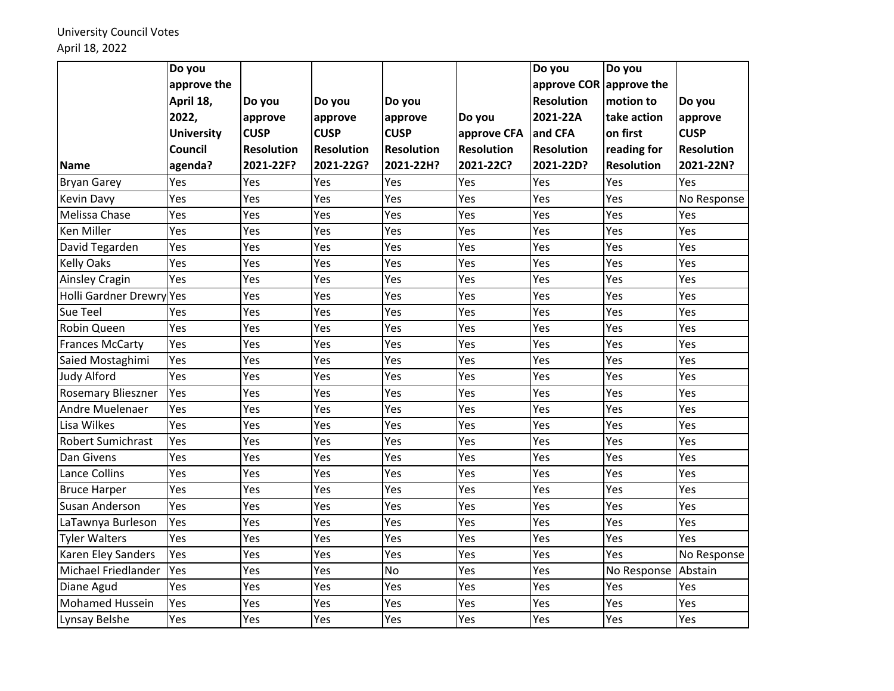|                           | Do you            |                   |                   |                   |                   | Do you                  | Do you            |                   |
|---------------------------|-------------------|-------------------|-------------------|-------------------|-------------------|-------------------------|-------------------|-------------------|
|                           | approve the       |                   |                   |                   |                   | approve COR approve the |                   |                   |
|                           | April 18,         | Do you            | Do you            | Do you            |                   | <b>Resolution</b>       | motion to         | Do you            |
|                           | 2022,             | approve           | approve           | approve           | Do you            | 2021-22A                | take action       | approve           |
|                           | <b>University</b> | <b>CUSP</b>       | <b>CUSP</b>       | <b>CUSP</b>       | approve CFA       | and CFA                 | on first          | <b>CUSP</b>       |
|                           | Council           | <b>Resolution</b> | <b>Resolution</b> | <b>Resolution</b> | <b>Resolution</b> | <b>Resolution</b>       | reading for       | <b>Resolution</b> |
| Name                      | agenda?           | 2021-22F?         | 2021-22G?         | 2021-22H?         | 2021-22C?         | 2021-22D?               | <b>Resolution</b> | 2021-22N?         |
| <b>Bryan Garey</b>        | Yes               | Yes               | Yes               | Yes               | Yes               | Yes                     | Yes               | Yes               |
| <b>Kevin Davy</b>         | Yes               | Yes               | Yes               | Yes               | Yes               | Yes                     | Yes               | No Response       |
| Melissa Chase             | Yes               | Yes               | Yes               | Yes               | Yes               | Yes                     | Yes               | Yes               |
| <b>Ken Miller</b>         | Yes               | Yes               | Yes               | Yes               | Yes               | Yes                     | Yes               | Yes               |
| David Tegarden            | Yes               | Yes               | Yes               | Yes               | Yes               | Yes                     | Yes               | Yes               |
| <b>Kelly Oaks</b>         | Yes               | Yes               | Yes               | Yes               | Yes               | Yes                     | Yes               | Yes               |
| <b>Ainsley Cragin</b>     | Yes               | Yes               | Yes               | Yes               | Yes               | Yes                     | Yes               | Yes               |
| Holli Gardner Drewry Yes  |                   | Yes               | Yes               | Yes               | Yes               | Yes                     | Yes               | Yes               |
| <b>Sue Teel</b>           | Yes               | Yes               | Yes               | Yes               | Yes               | Yes                     | Yes               | Yes               |
| <b>Robin Queen</b>        | Yes               | Yes               | Yes               | Yes               | Yes               | Yes                     | Yes               | Yes               |
| <b>Frances McCarty</b>    | Yes               | Yes               | Yes               | Yes               | Yes               | Yes                     | Yes               | Yes               |
| Saied Mostaghimi          | Yes               | Yes               | Yes               | Yes               | Yes               | Yes                     | Yes               | Yes               |
| <b>Judy Alford</b>        | Yes               | Yes               | Yes               | Yes               | Yes               | Yes                     | Yes               | Yes               |
| <b>Rosemary Blieszner</b> | Yes               | Yes               | Yes               | Yes               | Yes               | Yes                     | Yes               | Yes               |
| Andre Muelenaer           | Yes               | Yes               | Yes               | Yes               | Yes               | Yes                     | Yes               | Yes               |
| Lisa Wilkes               | Yes               | Yes               | Yes               | Yes               | Yes               | Yes                     | Yes               | Yes               |
| <b>Robert Sumichrast</b>  | Yes               | Yes               | Yes               | Yes               | Yes               | Yes                     | Yes               | Yes               |
| Dan Givens                | Yes               | Yes               | Yes               | Yes               | Yes               | Yes                     | Yes               | Yes               |
| Lance Collins             | Yes               | Yes               | Yes               | Yes               | Yes               | Yes                     | Yes               | Yes               |
| <b>Bruce Harper</b>       | Yes               | Yes               | Yes               | Yes               | Yes               | Yes                     | Yes               | Yes               |
| <b>Susan Anderson</b>     | Yes               | Yes               | Yes               | Yes               | Yes               | Yes                     | Yes               | Yes               |
| LaTawnya Burleson         | Yes               | Yes               | Yes               | Yes               | Yes               | Yes                     | Yes               | Yes               |
| <b>Tyler Walters</b>      | Yes               | Yes               | Yes               | Yes               | Yes               | Yes                     | Yes               | Yes               |
| Karen Eley Sanders        | Yes               | Yes               | Yes               | Yes               | Yes               | Yes                     | Yes               | No Response       |
| Michael Friedlander       | Yes               | Yes               | Yes               | <b>No</b>         | Yes               | Yes                     | No Response       | Abstain           |
| Diane Agud                | Yes               | Yes               | Yes               | Yes               | Yes               | Yes                     | Yes               | Yes               |
| <b>Mohamed Hussein</b>    | Yes               | Yes               | Yes               | Yes               | Yes               | Yes                     | Yes               | Yes               |
| Lynsay Belshe             | Yes               | Yes               | Yes               | Yes               | Yes               | Yes                     | Yes               | Yes               |